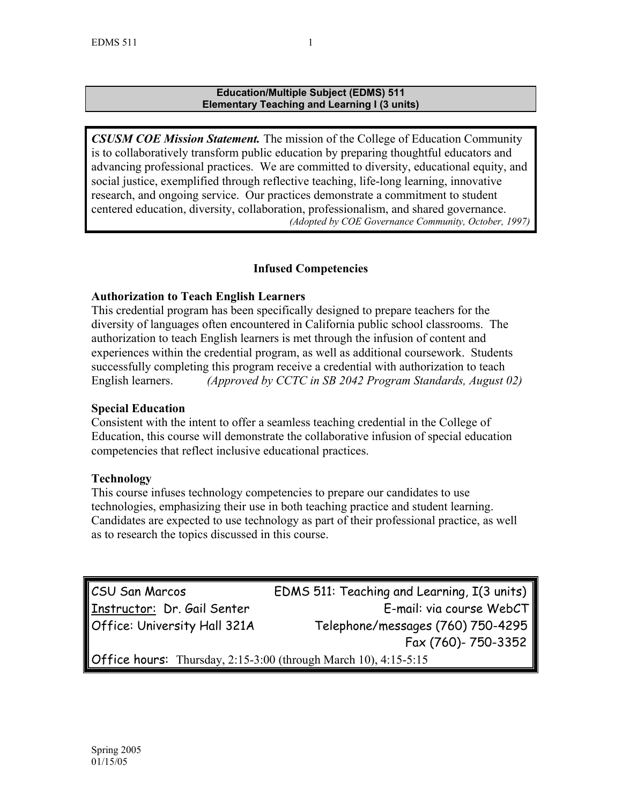#### **Education/Multiple Subject (EDMS) 511 Elementary Teaching and Learning I (3 units)**

*CSUSM COE Mission Statement.* The mission of the College of Education Community is to collaboratively transform public education by preparing thoughtful educators and advancing professional practices. We are committed to diversity, educational equity, and social justice, exemplified through reflective teaching, life-long learning, innovative research, and ongoing service. Our practices demonstrate a commitment to student centered education, diversity, collaboration, professionalism, and shared governance. *(Adopted by COE Governance Community, October, 1997)*

## **Infused Competencies**

## **Authorization to Teach English Learners**

This credential program has been specifically designed to prepare teachers for the diversity of languages often encountered in California public school classrooms. The authorization to teach English learners is met through the infusion of content and experiences within the credential program, as well as additional coursework. Students successfully completing this program receive a credential with authorization to teach English learners. *(Approved by CCTC in SB 2042 Program Standards, August 02)*

### **Special Education**

Consistent with the intent to offer a seamless teaching credential in the College of Education, this course will demonstrate the collaborative infusion of special education competencies that reflect inclusive educational practices.

## **Technology**

This course infuses technology competencies to prepare our candidates to use technologies, emphasizing their use in both teaching practice and student learning. Candidates are expected to use technology as part of their professional practice, as well as to research the topics discussed in this course.

CSU San Marcos EDMS 511: Teaching and Learning, I(3 units) Instructor: Dr. Gail Senter **E-mail:** via course WebCT Office: University Hall 321A Telephone/messages (760) 750-4295 Fax (760)- 750-3352 Office hours: Thursday, 2:15-3:00 (through March 10), 4:15-5:15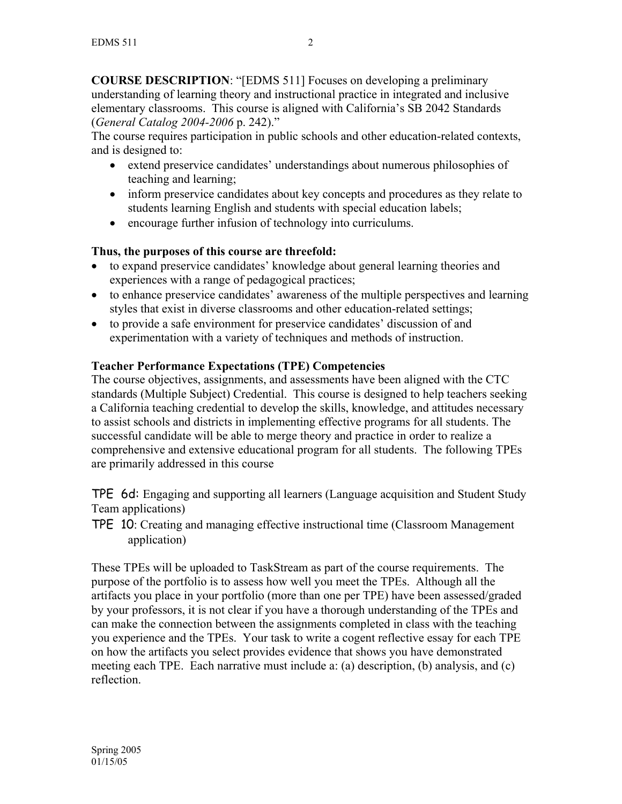**COURSE DESCRIPTION**: "[EDMS 511] Focuses on developing a preliminary understanding of learning theory and instructional practice in integrated and inclusive elementary classrooms. This course is aligned with California's SB 2042 Standards (*General Catalog 2004-2006* p. 242)."

The course requires participation in public schools and other education-related contexts, and is designed to:

- extend preservice candidates' understandings about numerous philosophies of teaching and learning;
- inform preservice candidates about key concepts and procedures as they relate to students learning English and students with special education labels;
- encourage further infusion of technology into curriculums.

## **Thus, the purposes of this course are threefold:**

- to expand preservice candidates' knowledge about general learning theories and experiences with a range of pedagogical practices;
- to enhance preservice candidates' awareness of the multiple perspectives and learning styles that exist in diverse classrooms and other education-related settings;
- to provide a safe environment for preservice candidates' discussion of and experimentation with a variety of techniques and methods of instruction.

## **Teacher Performance Expectations (TPE) Competencies**

The course objectives, assignments, and assessments have been aligned with the CTC standards (Multiple Subject) Credential. This course is designed to help teachers seeking a California teaching credential to develop the skills, knowledge, and attitudes necessary to assist schools and districts in implementing effective programs for all students. The successful candidate will be able to merge theory and practice in order to realize a comprehensive and extensive educational program for all students. The following TPEs are primarily addressed in this course

TPE 6d: Engaging and supporting all learners (Language acquisition and Student Study Team applications)

TPE 10: Creating and managing effective instructional time (Classroom Management application)

These TPEs will be uploaded to TaskStream as part of the course requirements. The purpose of the portfolio is to assess how well you meet the TPEs. Although all the artifacts you place in your portfolio (more than one per TPE) have been assessed/graded by your professors, it is not clear if you have a thorough understanding of the TPEs and can make the connection between the assignments completed in class with the teaching you experience and the TPEs. Your task to write a cogent reflective essay for each TPE on how the artifacts you select provides evidence that shows you have demonstrated meeting each TPE. Each narrative must include a: (a) description, (b) analysis, and (c) reflection.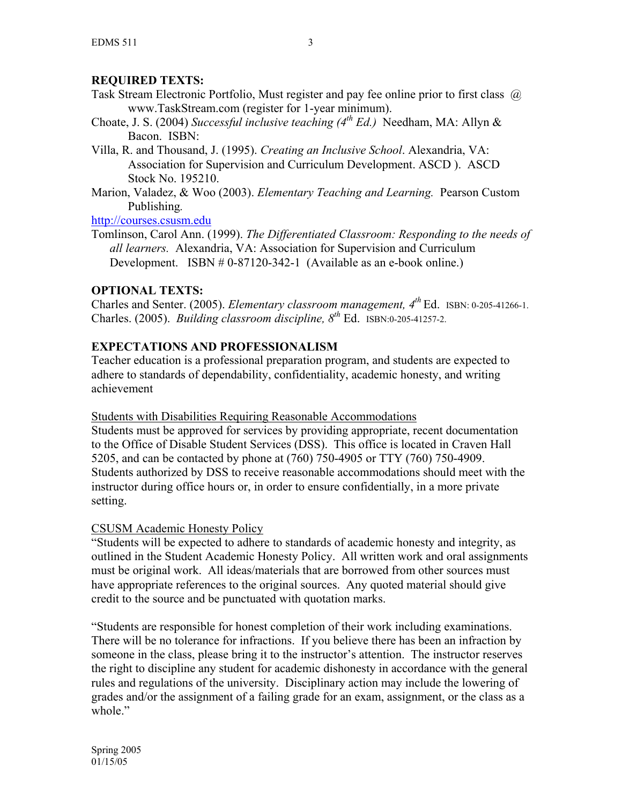# **REQUIRED TEXTS:**

- Task Stream Electronic Portfolio, Must register and pay fee online prior to first class @ www.TaskStream.com (register for 1-year minimum).
- Choate, J. S. (2004) *Successful inclusive teaching (4th Ed.)* Needham, MA: Allyn & Bacon. ISBN:
- Villa, R. and Thousand, J. (1995). *Creating an Inclusive School*. Alexandria, VA: Association for Supervision and Curriculum Development. ASCD ). ASCD Stock No. 195210.
- Marion, Valadez, & Woo (2003). *Elementary Teaching and Learning.* Pearson Custom Publishing*.*

http://courses.csusm.edu

Tomlinson, Carol Ann. (1999). *The Differentiated Classroom: Responding to the needs of all learners.* Alexandria, VA: Association for Supervision and Curriculum Development. ISBN # 0-87120-342-1 (Available as an e-book online.)

# **OPTIONAL TEXTS:**

Charles and Senter. (2005). *Elementary classroom management, 4th* Ed. ISBN: 0-205-41266-1. Charles. (2005). *Building classroom discipline, 8th* Ed. ISBN:0-205-41257-2.

# **EXPECTATIONS AND PROFESSIONALISM**

Teacher education is a professional preparation program, and students are expected to adhere to standards of dependability, confidentiality, academic honesty, and writing achievement

# Students with Disabilities Requiring Reasonable Accommodations

Students must be approved for services by providing appropriate, recent documentation to the Office of Disable Student Services (DSS). This office is located in Craven Hall 5205, and can be contacted by phone at (760) 750-4905 or TTY (760) 750-4909. Students authorized by DSS to receive reasonable accommodations should meet with the instructor during office hours or, in order to ensure confidentially, in a more private setting.

# CSUSM Academic Honesty Policy

"Students will be expected to adhere to standards of academic honesty and integrity, as outlined in the Student Academic Honesty Policy. All written work and oral assignments must be original work. All ideas/materials that are borrowed from other sources must have appropriate references to the original sources. Any quoted material should give credit to the source and be punctuated with quotation marks.

"Students are responsible for honest completion of their work including examinations. There will be no tolerance for infractions. If you believe there has been an infraction by someone in the class, please bring it to the instructor's attention. The instructor reserves the right to discipline any student for academic dishonesty in accordance with the general rules and regulations of the university. Disciplinary action may include the lowering of grades and/or the assignment of a failing grade for an exam, assignment, or the class as a whole."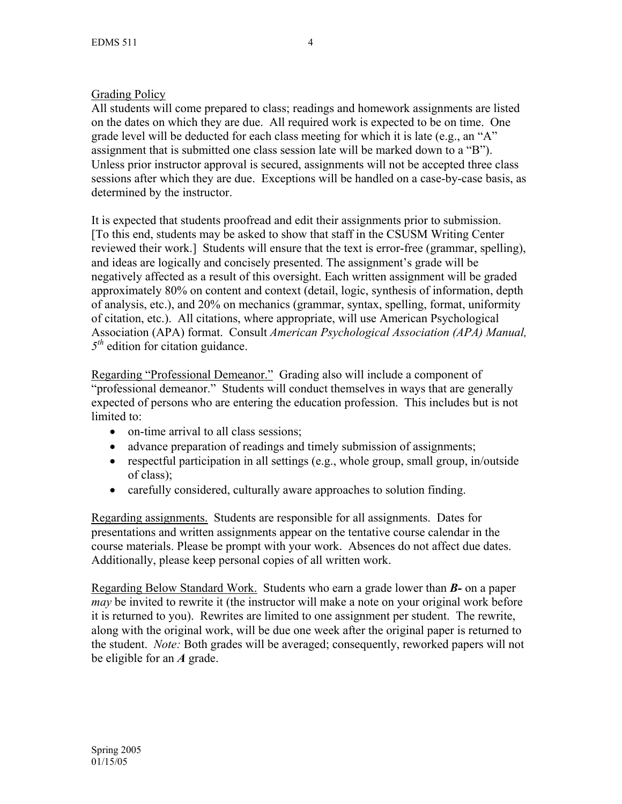## Grading Policy

All students will come prepared to class; readings and homework assignments are listed on the dates on which they are due. All required work is expected to be on time. One grade level will be deducted for each class meeting for which it is late (e.g., an "A" assignment that is submitted one class session late will be marked down to a "B"). Unless prior instructor approval is secured, assignments will not be accepted three class sessions after which they are due. Exceptions will be handled on a case-by-case basis, as determined by the instructor.

It is expected that students proofread and edit their assignments prior to submission. [To this end, students may be asked to show that staff in the CSUSM Writing Center reviewed their work.] Students will ensure that the text is error-free (grammar, spelling), and ideas are logically and concisely presented. The assignment's grade will be negatively affected as a result of this oversight. Each written assignment will be graded approximately 80% on content and context (detail, logic, synthesis of information, depth of analysis, etc.), and 20% on mechanics (grammar, syntax, spelling, format, uniformity of citation, etc.). All citations, where appropriate, will use American Psychological Association (APA) format. Consult *American Psychological Association (APA) Manual, 5th* edition for citation guidance.

Regarding "Professional Demeanor."Grading also will include a component of "professional demeanor." Students will conduct themselves in ways that are generally expected of persons who are entering the education profession. This includes but is not limited to:

- on-time arrival to all class sessions:
- advance preparation of readings and timely submission of assignments;
- respectful participation in all settings (e.g., whole group, small group, in/outside of class);
- carefully considered, culturally aware approaches to solution finding.

Regarding assignments. Students are responsible for all assignments. Dates for presentations and written assignments appear on the tentative course calendar in the course materials. Please be prompt with your work. Absences do not affect due dates. Additionally, please keep personal copies of all written work.

Regarding Below Standard Work. Students who earn a grade lower than *B-* on a paper *may* be invited to rewrite it (the instructor will make a note on your original work before it is returned to you). Rewrites are limited to one assignment per student. The rewrite, along with the original work, will be due one week after the original paper is returned to the student. *Note:* Both grades will be averaged; consequently, reworked papers will not be eligible for an *A* grade.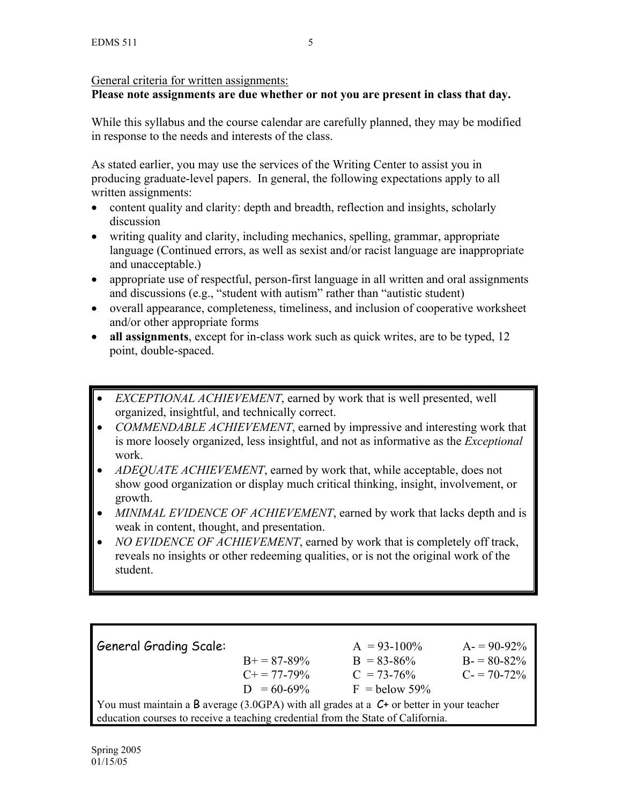# General criteria for written assignments:

# **Please note assignments are due whether or not you are present in class that day.**

While this syllabus and the course calendar are carefully planned, they may be modified in response to the needs and interests of the class.

As stated earlier, you may use the services of the Writing Center to assist you in producing graduate-level papers. In general, the following expectations apply to all written assignments:

- content quality and clarity: depth and breadth, reflection and insights, scholarly discussion
- writing quality and clarity, including mechanics, spelling, grammar, appropriate language (Continued errors, as well as sexist and/or racist language are inappropriate and unacceptable.)
- appropriate use of respectful, person-first language in all written and oral assignments and discussions (e.g., "student with autism" rather than "autistic student)
- overall appearance, completeness, timeliness, and inclusion of cooperative worksheet and/or other appropriate forms
- **all assignments**, except for in-class work such as quick writes, are to be typed, 12 point, double-spaced.
- *EXCEPTIONAL ACHIEVEMENT*, earned by work that is well presented, well organized, insightful, and technically correct.
- *COMMENDABLE ACHIEVEMENT*, earned by impressive and interesting work that is more loosely organized, less insightful, and not as informative as the *Exceptional*  work.
- *ADEQUATE ACHIEVEMENT*, earned by work that, while acceptable, does not show good organization or display much critical thinking, insight, involvement, or growth.
- *MINIMAL EVIDENCE OF ACHIEVEMENT*, earned by work that lacks depth and is weak in content, thought, and presentation.
- *NO EVIDENCE OF ACHIEVEMENT*, earned by work that is completely off track, reveals no insights or other redeeming qualities, or is not the original work of the student.

| <b>General Grading Scale:</b>                                                                    |                       | $A = 93-100\%$  | $A = 90-92\%$ |  |
|--------------------------------------------------------------------------------------------------|-----------------------|-----------------|---------------|--|
|                                                                                                  | $B+=87-89\%$          | $B = 83 - 86\%$ | $B = 80-82\%$ |  |
|                                                                                                  | $C_{\pm} = 77 - 79\%$ | $C = 73-76%$    | $C = 70-72\%$ |  |
|                                                                                                  | $D = 60-69\%$         | $F =$ below 59% |               |  |
| You must maintain a B average (3.0GPA) with all grades at a $C_{\tau}$ or better in your teacher |                       |                 |               |  |
| education courses to receive a teaching credential from the State of California.                 |                       |                 |               |  |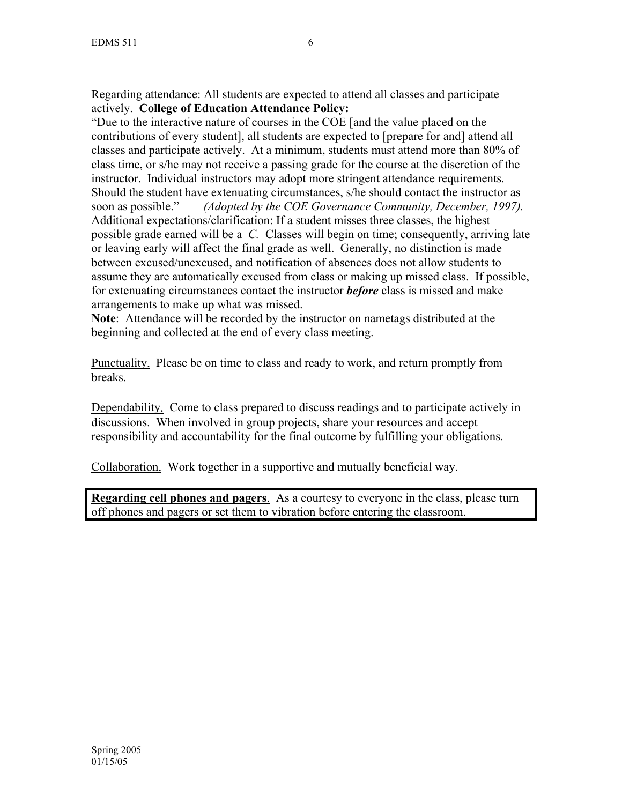Regarding attendance: All students are expected to attend all classes and participate actively. **College of Education Attendance Policy:** 

"Due to the interactive nature of courses in the COE [and the value placed on the contributions of every student], all students are expected to [prepare for and] attend all classes and participate actively. At a minimum, students must attend more than 80% of class time, or s/he may not receive a passing grade for the course at the discretion of the instructor. Individual instructors may adopt more stringent attendance requirements. Should the student have extenuating circumstances, s/he should contact the instructor as soon as possible." *(Adopted by the COE Governance Community, December, 1997).* Additional expectations/clarification: If a student misses three classes, the highest possible grade earned will be a *C.* Classes will begin on time; consequently, arriving late or leaving early will affect the final grade as well. Generally, no distinction is made between excused/unexcused, and notification of absences does not allow students to assume they are automatically excused from class or making up missed class. If possible, for extenuating circumstances contact the instructor *before* class is missed and make arrangements to make up what was missed.

**Note**: Attendance will be recorded by the instructor on nametags distributed at the beginning and collected at the end of every class meeting.

Punctuality. Please be on time to class and ready to work, and return promptly from breaks.

Dependability. Come to class prepared to discuss readings and to participate actively in discussions. When involved in group projects, share your resources and accept responsibility and accountability for the final outcome by fulfilling your obligations.

Collaboration. Work together in a supportive and mutually beneficial way.

**Regarding cell phones and pagers**. As a courtesy to everyone in the class, please turn off phones and pagers or set them to vibration before entering the classroom.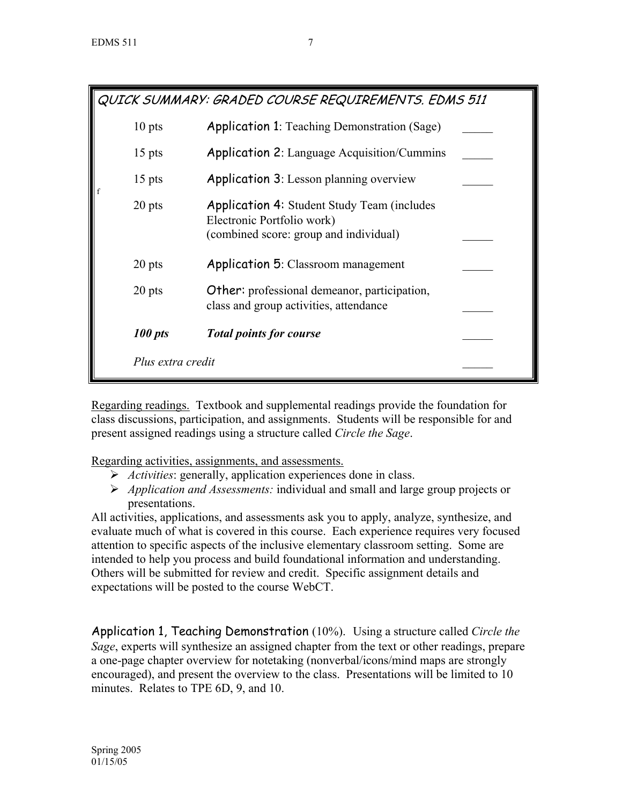| QUICK SUMMARY: GRADED COURSE REQUIREMENTS. EDMS 511 |                   |                                                                                                                             |  |  |
|-----------------------------------------------------|-------------------|-----------------------------------------------------------------------------------------------------------------------------|--|--|
|                                                     | $10$ pts          | <b>Application 1:</b> Teaching Demonstration (Sage)                                                                         |  |  |
|                                                     | $15$ pts          | <b>Application 2: Language Acquisition/Cummins</b>                                                                          |  |  |
| f                                                   | $15$ pts          | <b>Application 3:</b> Lesson planning overview                                                                              |  |  |
|                                                     | 20 pts            | <b>Application 4: Student Study Team (includes)</b><br>Electronic Portfolio work)<br>(combined score: group and individual) |  |  |
|                                                     | 20 pts            | <b>Application 5: Classroom management</b>                                                                                  |  |  |
|                                                     | 20 pts            | <b>Other:</b> professional demeanor, participation,<br>class and group activities, attendance                               |  |  |
|                                                     | 100 pts           | <b>Total points for course</b>                                                                                              |  |  |
|                                                     | Plus extra credit |                                                                                                                             |  |  |

Regarding readings. Textbook and supplemental readings provide the foundation for class discussions, participation, and assignments. Students will be responsible for and present assigned readings using a structure called *Circle the Sage*.

Regarding activities, assignments, and assessments.

- ¾ *Activities*: generally, application experiences done in class.
- ¾ *Application and Assessments:* individual and small and large group projects or presentations.

All activities, applications, and assessments ask you to apply, analyze, synthesize, and evaluate much of what is covered in this course. Each experience requires very focused attention to specific aspects of the inclusive elementary classroom setting. Some are intended to help you process and build foundational information and understanding. Others will be submitted for review and credit. Specific assignment details and expectations will be posted to the course WebCT.

Application 1, Teaching Demonstration (10%). Using a structure called *Circle the Sage*, experts will synthesize an assigned chapter from the text or other readings, prepare a one-page chapter overview for notetaking (nonverbal/icons/mind maps are strongly encouraged), and present the overview to the class. Presentations will be limited to 10 minutes. Relates to TPE 6D, 9, and 10.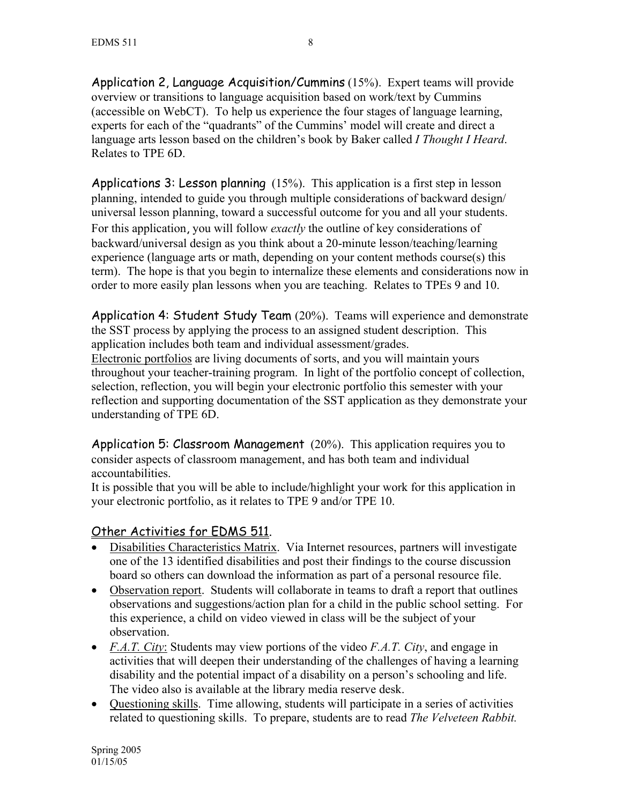Application 2, Language Acquisition/Cummins (15%). Expert teams will provide overview or transitions to language acquisition based on work/text by Cummins (accessible on WebCT). To help us experience the four stages of language learning, experts for each of the "quadrants" of the Cummins' model will create and direct a language arts lesson based on the children's book by Baker called *I Thought I Heard*. Relates to TPE 6D.

Applications 3: Lesson planning (15%). This application is a first step in lesson planning, intended to guide you through multiple considerations of backward design/ universal lesson planning, toward a successful outcome for you and all your students. For this application, you will follow *exactly* the outline of key considerations of backward/universal design as you think about a 20-minute lesson/teaching/learning experience (language arts or math, depending on your content methods course(s) this term). The hope is that you begin to internalize these elements and considerations now in order to more easily plan lessons when you are teaching. Relates to TPEs 9 and 10.

Application 4: Student Study Team (20%). Teams will experience and demonstrate the SST process by applying the process to an assigned student description. This application includes both team and individual assessment/grades.

Electronic portfolios are living documents of sorts, and you will maintain yours throughout your teacher-training program. In light of the portfolio concept of collection, selection, reflection, you will begin your electronic portfolio this semester with your reflection and supporting documentation of the SST application as they demonstrate your understanding of TPE 6D.

Application 5: Classroom Management (20%). This application requires you to consider aspects of classroom management, and has both team and individual accountabilities.

It is possible that you will be able to include/highlight your work for this application in your electronic portfolio, as it relates to TPE 9 and/or TPE 10.

# Other Activities for EDMS 511.

- Disabilities Characteristics Matrix. Via Internet resources, partners will investigate one of the 13 identified disabilities and post their findings to the course discussion board so others can download the information as part of a personal resource file.
- Observation report. Students will collaborate in teams to draft a report that outlines observations and suggestions/action plan for a child in the public school setting. For this experience, a child on video viewed in class will be the subject of your observation.
- *F.A.T. City*: Students may view portions of the video *F.A.T. City*, and engage in activities that will deepen their understanding of the challenges of having a learning disability and the potential impact of a disability on a person's schooling and life. The video also is available at the library media reserve desk.
- Questioning skills. Time allowing, students will participate in a series of activities related to questioning skills. To prepare, students are to read *The Velveteen Rabbit.*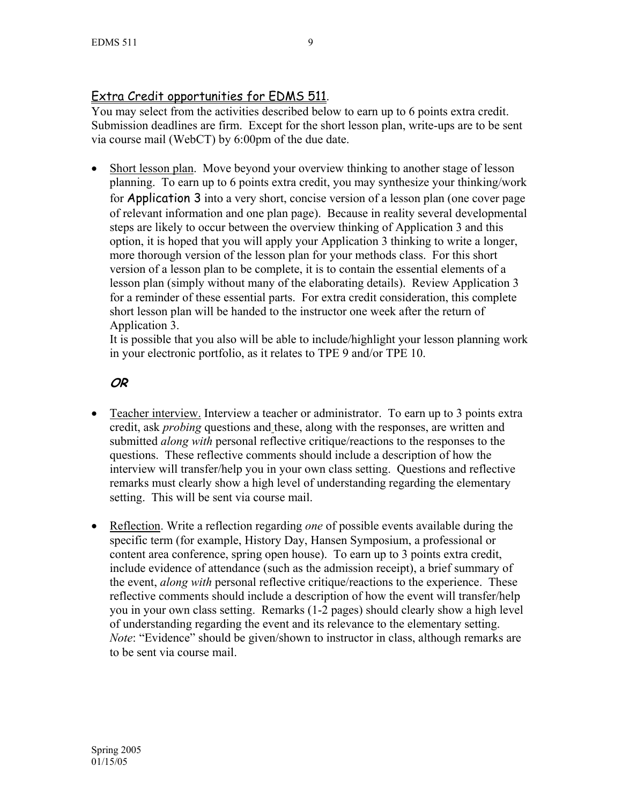# Extra Credit opportunities for EDMS 511.

You may select from the activities described below to earn up to 6 points extra credit. Submission deadlines are firm. Except for the short lesson plan, write-ups are to be sent via course mail (WebCT) by 6:00pm of the due date.

• Short lesson plan. Move beyond your overview thinking to another stage of lesson planning. To earn up to 6 points extra credit, you may synthesize your thinking/work for Application 3 into a very short, concise version of a lesson plan (one cover page of relevant information and one plan page). Because in reality several developmental steps are likely to occur between the overview thinking of Application 3 and this option, it is hoped that you will apply your Application 3 thinking to write a longer, more thorough version of the lesson plan for your methods class. For this short version of a lesson plan to be complete, it is to contain the essential elements of a lesson plan (simply without many of the elaborating details). Review Application 3 for a reminder of these essential parts. For extra credit consideration, this complete short lesson plan will be handed to the instructor one week after the return of Application 3.

It is possible that you also will be able to include/highlight your lesson planning work in your electronic portfolio, as it relates to TPE 9 and/or TPE 10.

# **OR**

- Teacher interview. Interview a teacher or administrator. To earn up to 3 points extra credit, ask *probing* questions and these, along with the responses, are written and submitted *along with* personal reflective critique/reactions to the responses to the questions. These reflective comments should include a description of how the interview will transfer/help you in your own class setting. Questions and reflective remarks must clearly show a high level of understanding regarding the elementary setting. This will be sent via course mail.
- Reflection. Write a reflection regarding *one* of possible events available during the specific term (for example, History Day, Hansen Symposium, a professional or content area conference, spring open house). To earn up to 3 points extra credit, include evidence of attendance (such as the admission receipt), a brief summary of the event, *along with* personal reflective critique/reactions to the experience. These reflective comments should include a description of how the event will transfer/help you in your own class setting. Remarks (1-2 pages) should clearly show a high level of understanding regarding the event and its relevance to the elementary setting. *Note*: "Evidence" should be given/shown to instructor in class, although remarks are to be sent via course mail.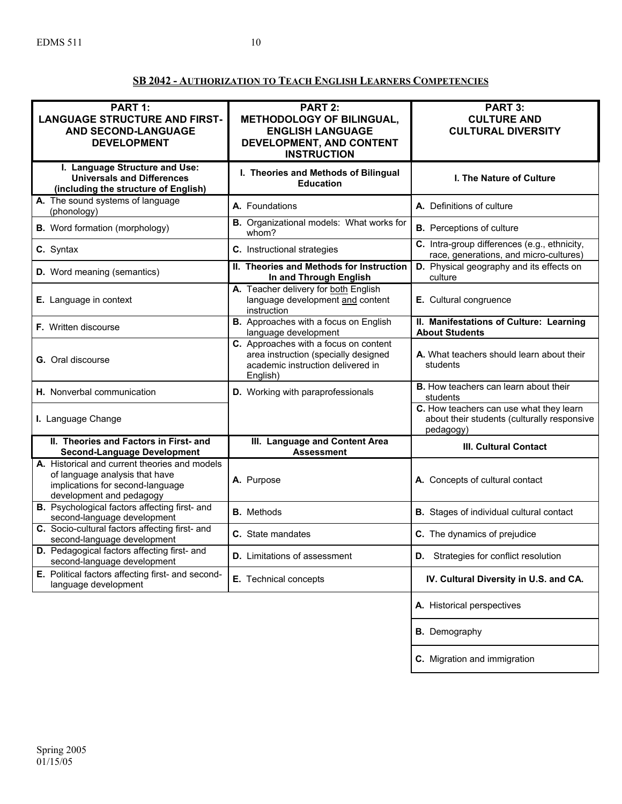## **SB 2042 - AUTHORIZATION TO TEACH ENGLISH LEARNERS COMPETENCIES**

| PART 1:<br><b>LANGUAGE STRUCTURE AND FIRST-</b><br><b>AND SECOND-LANGUAGE</b><br><b>DEVELOPMENT</b>                                             | <b>PART 2:</b><br><b>METHODOLOGY OF BILINGUAL,</b><br><b>ENGLISH LANGUAGE</b><br>DEVELOPMENT, AND CONTENT<br><b>INSTRUCTION</b> | PART 3:<br><b>CULTURE AND</b><br><b>CULTURAL DIVERSITY</b>                                          |
|-------------------------------------------------------------------------------------------------------------------------------------------------|---------------------------------------------------------------------------------------------------------------------------------|-----------------------------------------------------------------------------------------------------|
| I. Language Structure and Use:<br><b>Universals and Differences</b><br>(including the structure of English)                                     | I. Theories and Methods of Bilingual<br><b>Education</b>                                                                        | <b>I. The Nature of Culture</b>                                                                     |
| A. The sound systems of language<br>(phonology)                                                                                                 | A. Foundations                                                                                                                  | A. Definitions of culture                                                                           |
| <b>B.</b> Word formation (morphology)                                                                                                           | B. Organizational models: What works for<br>whom?                                                                               | <b>B.</b> Perceptions of culture                                                                    |
| C. Syntax                                                                                                                                       | C. Instructional strategies                                                                                                     | C. Intra-group differences (e.g., ethnicity,<br>race, generations, and micro-cultures)              |
| <b>D.</b> Word meaning (semantics)                                                                                                              | II. Theories and Methods for Instruction<br>In and Through English                                                              | D. Physical geography and its effects on<br>culture                                                 |
| E. Language in context                                                                                                                          | A. Teacher delivery for both English<br>language development and content<br>instruction                                         | E. Cultural congruence                                                                              |
| F. Written discourse                                                                                                                            | <b>B.</b> Approaches with a focus on English<br>language development                                                            | II. Manifestations of Culture: Learning<br><b>About Students</b>                                    |
| <b>G.</b> Oral discourse                                                                                                                        | C. Approaches with a focus on content<br>area instruction (specially designed<br>academic instruction delivered in<br>English)  | A. What teachers should learn about their<br>students                                               |
| H. Nonverbal communication                                                                                                                      | D. Working with paraprofessionals                                                                                               | <b>B.</b> How teachers can learn about their<br>students                                            |
| I. Language Change                                                                                                                              |                                                                                                                                 | C. How teachers can use what they learn<br>about their students (culturally responsive<br>pedagogy) |
| II. Theories and Factors in First- and<br><b>Second-Language Development</b>                                                                    | III. Language and Content Area<br><b>Assessment</b>                                                                             | <b>III. Cultural Contact</b>                                                                        |
| A. Historical and current theories and models<br>of language analysis that have<br>implications for second-language<br>development and pedagogy | A. Purpose                                                                                                                      | A. Concepts of cultural contact                                                                     |
| <b>B.</b> Psychological factors affecting first- and<br>second-language development                                                             | <b>B.</b> Methods                                                                                                               | <b>B.</b> Stages of individual cultural contact                                                     |
| C. Socio-cultural factors affecting first- and<br>second-language development                                                                   | C. State mandates                                                                                                               | C. The dynamics of prejudice                                                                        |
| D. Pedagogical factors affecting first- and<br>second-language development                                                                      | <b>D.</b> Limitations of assessment                                                                                             | D. Strategies for conflict resolution                                                               |
| E. Political factors affecting first- and second-<br>language development                                                                       | E. Technical concepts                                                                                                           | IV. Cultural Diversity in U.S. and CA.                                                              |
|                                                                                                                                                 |                                                                                                                                 | A. Historical perspectives                                                                          |
|                                                                                                                                                 |                                                                                                                                 | <b>B.</b> Demography                                                                                |
|                                                                                                                                                 |                                                                                                                                 | C. Migration and immigration                                                                        |